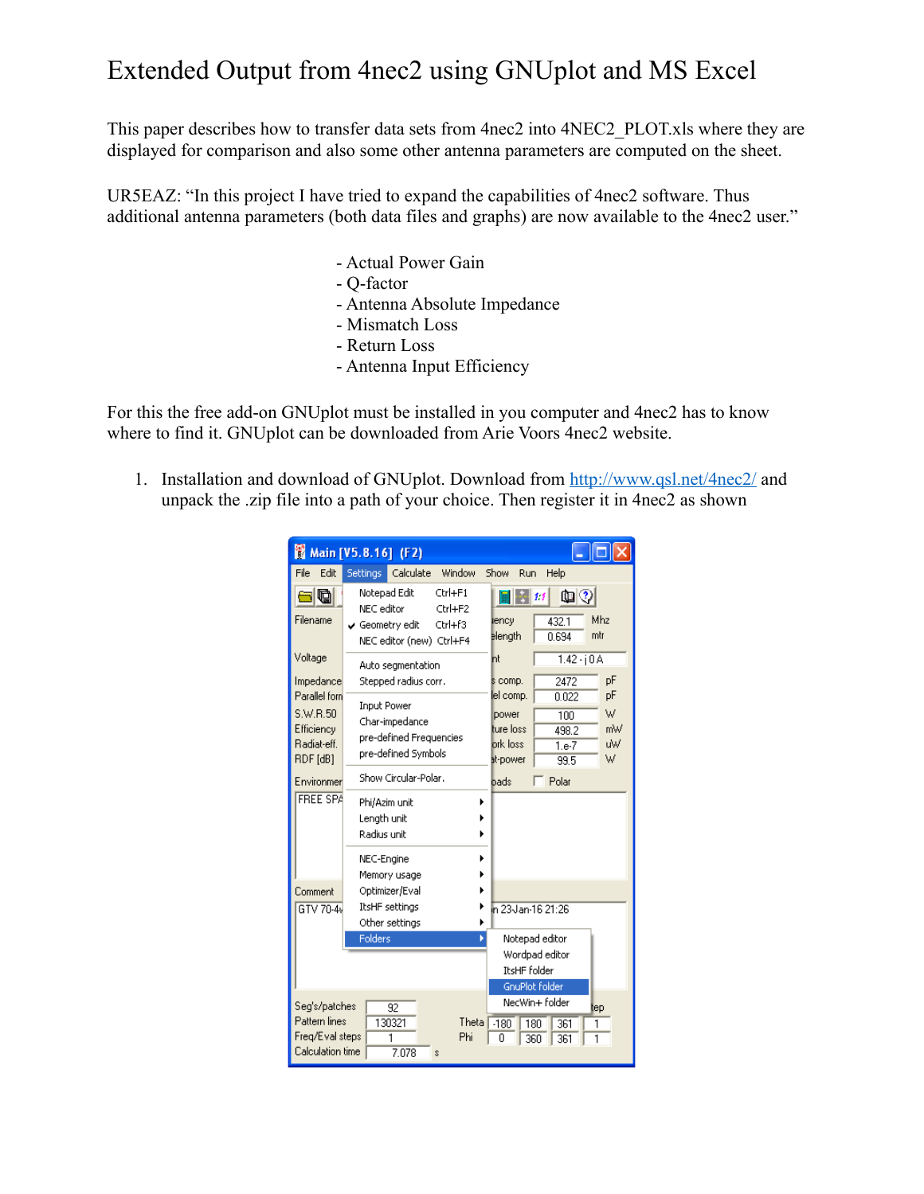## Extended Output from 4nec2 using GNUplot and MS Excel

This paper describes how to transfer data sets from 4nec2 into 4NEC2\_PLOT.xls where they are displayed for comparison and also some other antenna parameters are computed on the sheet.

UR5EAZ: "In this project I have tried to expand the capabilities of 4nec2 software. Thus additional antenna parameters (both data files and graphs) are now available to the 4nec2 user."

- Actual Power Gain
- Q-factor
- Antenna Absolute Impedance
- Mismatch Loss
- Return Loss
- Antenna Input Efficiency

For this the free add-on GNUplot must be installed in you computer and 4nec2 has to know where to find it. GNUplot can be downloaded from Arie Voors 4nec2 website.

1. Installation and download of GNUplot. Download from<http://www.qsl.net/4nec2/>and unpack the .zip file into a path of your choice. Then register it in 4nec2 as shown

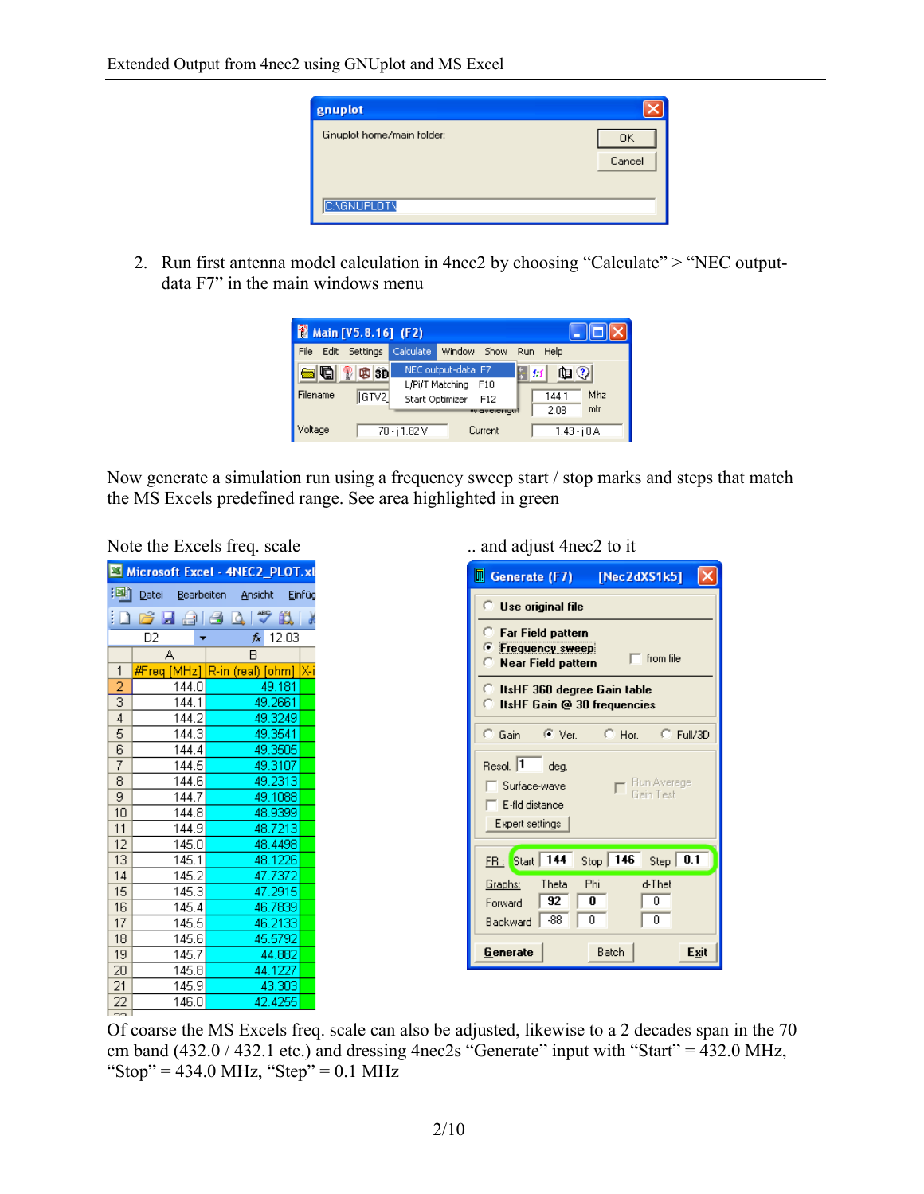| gnuplot                   |        |
|---------------------------|--------|
| Gnuplot home/main folder: | 0K     |
|                           | Cancel |
| <b>C:\GNUPLOT\</b>        |        |

2. Run first antenna model calculation in 4nec2 by choosing "Calculate" > "NEC outputdata F7" in the main windows menu

| Main [V5.8.16] (F2)                                  |                                                                                                              |                                                                                                                                                                                                                                                                                                                                                                                           |
|------------------------------------------------------|--------------------------------------------------------------------------------------------------------------|-------------------------------------------------------------------------------------------------------------------------------------------------------------------------------------------------------------------------------------------------------------------------------------------------------------------------------------------------------------------------------------------|
| Edit Settings<br>File                                | Calculate<br>Window<br>Show                                                                                  | Run.<br>Help                                                                                                                                                                                                                                                                                                                                                                              |
| $\blacksquare$<br>$\n  ②\n  ③\n$<br>Filename<br>GTV2 | NEC output-data F7<br>L/Pi/T Matching<br>F <sub>10</sub><br>Start Optimizer<br>F <sub>12</sub><br>w avcionum | $\begin{picture}(10,10) \put(0,0){\line(1,0){10}} \put(10,0){\line(1,0){10}} \put(10,0){\line(1,0){10}} \put(10,0){\line(1,0){10}} \put(10,0){\line(1,0){10}} \put(10,0){\line(1,0){10}} \put(10,0){\line(1,0){10}} \put(10,0){\line(1,0){10}} \put(10,0){\line(1,0){10}} \put(10,0){\line(1,0){10}} \put(10,0){\line(1,0){10}} \put(10,0){\line(1$<br>1:1<br>Mhz<br>144.1<br>mtr<br>2.08 |
| Voltage                                              | 70 - i 1.82 V<br>Current                                                                                     | $1.43 - i 0 A$                                                                                                                                                                                                                                                                                                                                                                            |

Now generate a simulation run using a frequency sweep start / stop marks and steps that match the MS Excels predefined range. See area highlighted in green

|                         |        | Microsoft Excel - 4NEC2_PLOT.xl     |  |  |  |  |  |
|-------------------------|--------|-------------------------------------|--|--|--|--|--|
|                         |        | : Datei Bearbeiten Ansicht Einfüg   |  |  |  |  |  |
|                         |        | : D & H &   & Q   * * #   *         |  |  |  |  |  |
| D2<br>$f_{\star}$ 12.03 |        |                                     |  |  |  |  |  |
|                         | А      | B                                   |  |  |  |  |  |
| $\mathbf{1}$            |        | #Freq [MHz]  R-in (real) [ohm]  X-i |  |  |  |  |  |
| $\overline{2}$          | 144.01 | 49.181                              |  |  |  |  |  |
| $\overline{3}$          | 144.1  | 49.2661                             |  |  |  |  |  |
| $\overline{4}$          | 144.2  | 49.3249                             |  |  |  |  |  |
| 5                       | 144.3  | 49.3541                             |  |  |  |  |  |
| 6                       | 144.4  | 49.3505                             |  |  |  |  |  |
| 7                       | 144.5  | 49.3107                             |  |  |  |  |  |
| $\overline{8}$          | 144.6  | 49.2313                             |  |  |  |  |  |
| 9                       | 144.7  | 49.1088                             |  |  |  |  |  |
| 10                      | 144.8  | 48.9399                             |  |  |  |  |  |
| 11                      | 144.9  | 48.7213                             |  |  |  |  |  |
| 12                      | 145.0  | 48.4498                             |  |  |  |  |  |
| 13                      | 145.1  | 48.1226                             |  |  |  |  |  |
| 14                      | 145.2  | 47.7372                             |  |  |  |  |  |
| 15                      | 145.3  | 47.2915                             |  |  |  |  |  |
| 16                      | 145.4  | 46.7839                             |  |  |  |  |  |
| 17                      | 145.5  | 46.2133                             |  |  |  |  |  |
| 18                      | 145.6  | 45.5792                             |  |  |  |  |  |
| 19                      | 145.7  | 44.882                              |  |  |  |  |  |
| 20                      | 145.8  | 44.1227                             |  |  |  |  |  |
| 21                      | 145.9  | 43.303                              |  |  |  |  |  |
| 22                      | 146.0  | 42.4255                             |  |  |  |  |  |
| $\sim$                  |        |                                     |  |  |  |  |  |

Note the Excels freq. scale ... and adjust 4nec2 to it

| Generate (F7)                                                                                                                          | [Nec2dXS1k5]       |  |  |  |  |  |  |
|----------------------------------------------------------------------------------------------------------------------------------------|--------------------|--|--|--|--|--|--|
| <b>Use original file</b>                                                                                                               |                    |  |  |  |  |  |  |
| a<br><b>Far Field pattern</b><br><b>Frequency sweep</b><br>from file<br>Near Field pattern                                             |                    |  |  |  |  |  |  |
| C ItsHF 360 degree Gain table<br>О.<br>ItsHF Gain @ 30 frequencies                                                                     |                    |  |  |  |  |  |  |
| C Gain<br>$\odot$ Ver.<br>Hor.                                                                                                         | $C$ Full/3D        |  |  |  |  |  |  |
| Resol. $\boxed{1}$<br>deg.<br>Run Average<br><b>Surface-wave</b><br>Gain Test<br>$\mathsf{\tilde{}}$ E-fld distance<br>Expert settings |                    |  |  |  |  |  |  |
| FR : Start   144<br>Stop $\sqrt{146}$                                                                                                  | Step $\boxed{0.1}$ |  |  |  |  |  |  |
| Phi<br>Theta<br><u>Graphs:</u><br>92<br>O<br>Forward<br>$-88$<br>0<br>Backward                                                         | d-Thet<br>Ω<br>0   |  |  |  |  |  |  |
| Batch<br>Generate                                                                                                                      | Exit               |  |  |  |  |  |  |

Of coarse the MS Excels freq. scale can also be adjusted, likewise to a 2 decades span in the 70 cm band  $(432.0 / 432.1$  etc.) and dressing 4nec2s "Generate" input with "Start" =  $\overline{432.0}$  MHz, "Stop" =  $434.0 \text{ MHz}$ , "Step" =  $0.1 \text{ MHz}$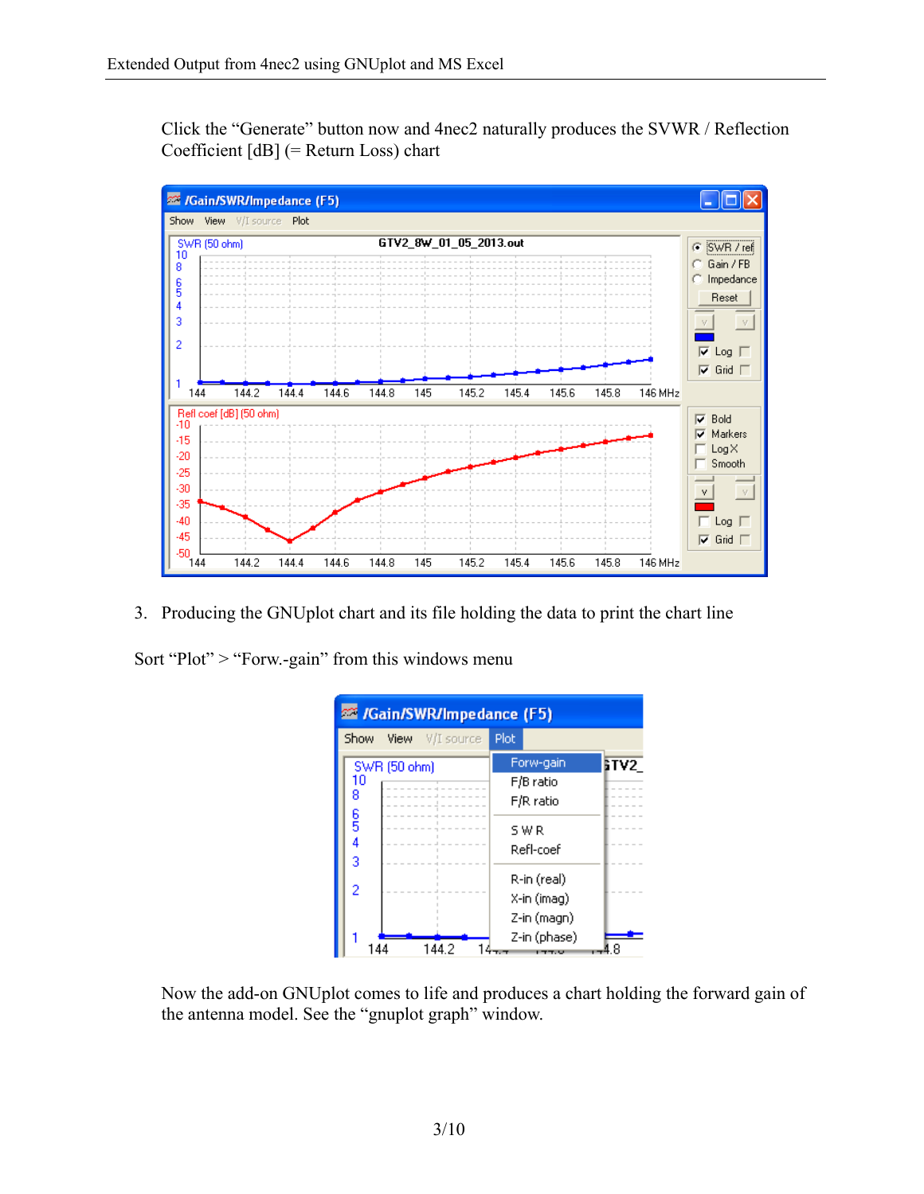Click the "Generate" button now and 4nec2 naturally produces the SVWR / Reflection Coefficient [dB] (= Return Loss) chart



3. Producing the GNUplot chart and its file holding the data to print the chart line

Sort "Plot" > "Forw.-gain" from this windows menu



Now the add-on GNUplot comes to life and produces a chart holding the forward gain of the antenna model. See the "gnuplot graph" window.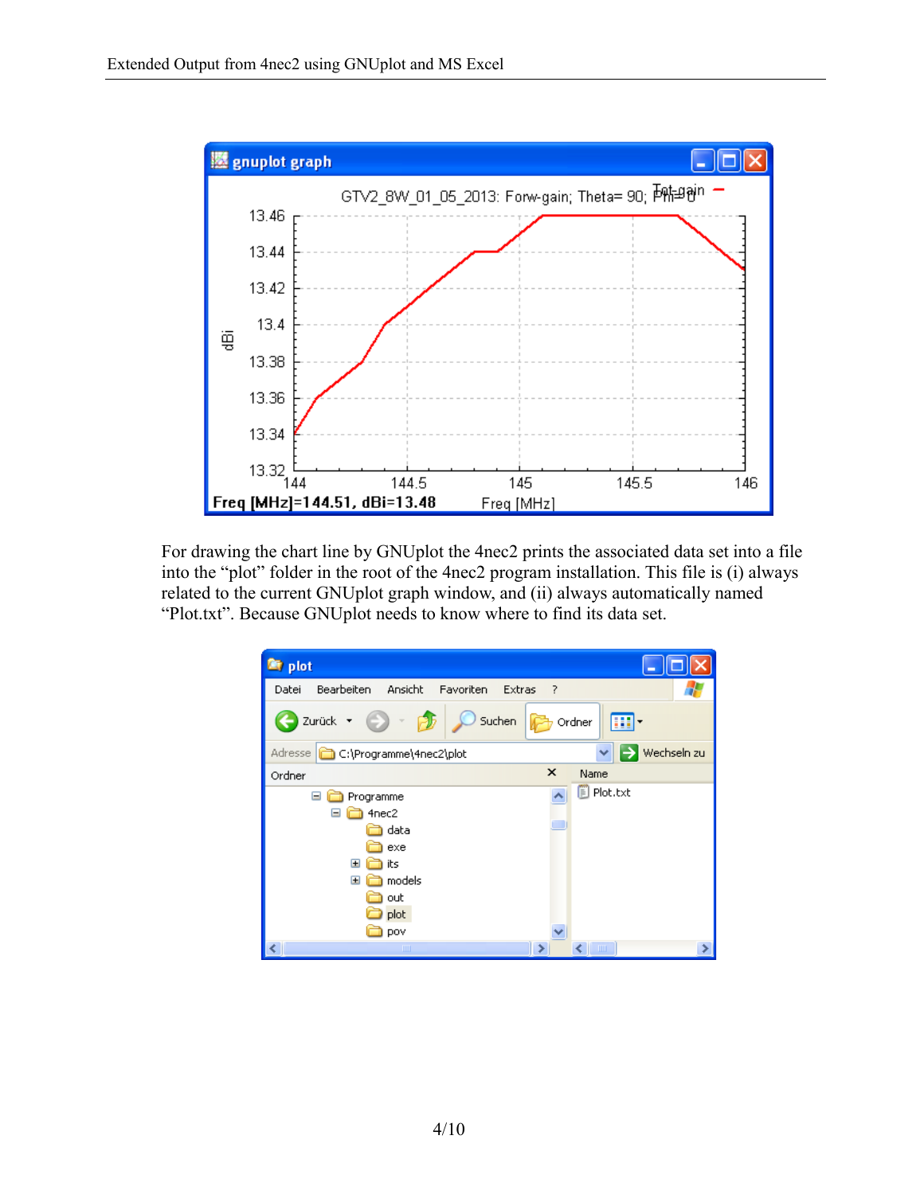

For drawing the chart line by GNUplot the 4nec2 prints the associated data set into a file into the "plot" folder in the root of the 4nec2 program installation. This file is (i) always related to the current GNUplot graph window, and (ii) always automatically named "Plot.txt". Because GNUplot needs to know where to find its data set.

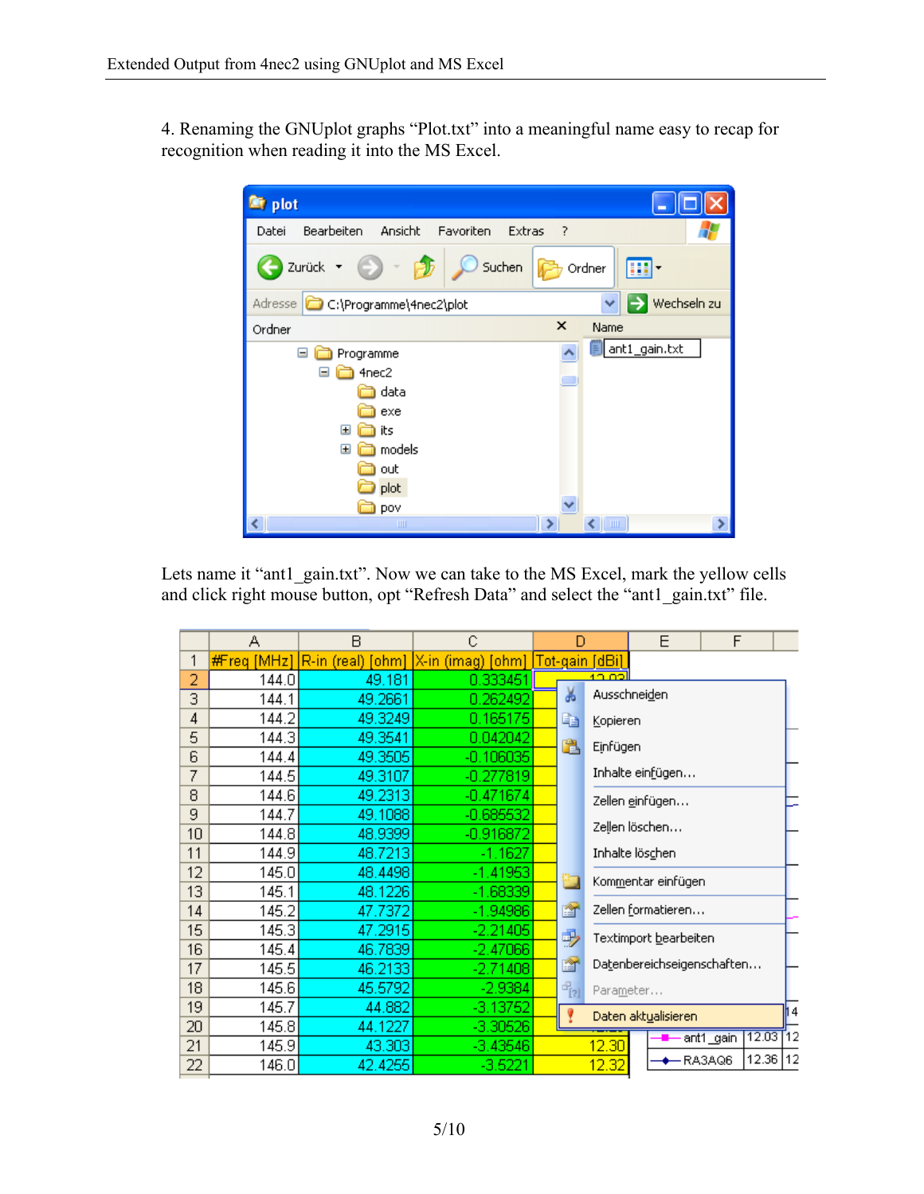4. Renaming the GNUplot graphs "Plot.txt" into a meaningful name easy to recap for recognition when reading it into the MS Excel.



Lets name it "ant1\_gain.txt". Now we can take to the MS Excel, mark the yellow cells and click right mouse button, opt "Refresh Data" and select the "ant1\_gain.txt" file.

|    | А           | B       | Ć                                                  | D               |                     | E                          | F                |           |       |    |
|----|-------------|---------|----------------------------------------------------|-----------------|---------------------|----------------------------|------------------|-----------|-------|----|
| 1  | #Freq [MHz] |         | $ R\cdot$ in (real) [ohm] $X\cdot$ in (imag) [ohm] | ∣Tot-gain [dBi] |                     |                            |                  |           |       |    |
| 2  | 144.0       | 49.181  | 0.333451                                           |                 |                     | 10.02                      |                  |           |       |    |
| 3  | 144.1       | 49.2661 | 0.262492                                           |                 | ¥                   | Ausschneiden               |                  |           |       |    |
| 4  | 144.2       | 49.3249 | 0.165175                                           |                 | E)                  | Kopieren                   |                  |           |       |    |
| 5  | 144.3       | 49.3541 | 0.042042                                           |                 | B                   | Einfügen                   |                  |           |       |    |
| 6  | 144.4       | 49.3505 | $-0.106035$                                        |                 |                     |                            |                  |           |       |    |
| 7  | 144.5       | 49.3107 | -0.277819                                          |                 |                     |                            | Inhalte einfügen |           |       |    |
| 8  | 144.6       | 49.2313 | $-0.471674$                                        |                 |                     | Zellen ginfügen            |                  |           |       |    |
| 9  | 144.7       | 49.1088 | $-0.685532$                                        |                 |                     |                            |                  |           |       |    |
| 10 | 144.8       | 48.9399 | -0.916872                                          |                 |                     |                            | Zellen löschen   |           |       |    |
| 11 | 144.9       | 48.7213 | $-1.1627$                                          |                 |                     | Inhalte lös <u>c</u> hen   |                  |           |       |    |
| 12 | 145.0       | 48.4498 | $-1.41953$                                         |                 |                     |                            |                  |           |       |    |
| 13 | 145.1       | 48.1226 | $-1.68339$                                         |                 |                     | Kommentar einfügen         |                  |           |       |    |
| 14 | 145.2       | 47.7372 | $-1.94986$                                         |                 | 會                   | Zellen formatieren         |                  |           |       |    |
| 15 | 145.3       | 47.2915 | $-2.21405$                                         |                 | 爳                   | Textimport bearbeiten      |                  |           |       |    |
| 16 | 145.4       | 46.7839 | $-2.47066$                                         |                 |                     |                            |                  |           |       |    |
| 17 | 145.5       | 46.2133 | $-2.71408$                                         |                 | e.                  | Datenbereichseigenschaften |                  |           |       |    |
| 18 | 145.6       | 45.5792 | $-2.9384$                                          |                 | $ \frac{1}{2}$      | Parameter                  |                  |           |       |    |
| 19 | 145.7       | 44.882  | $-3.13752$                                         |                 | Daten aktualisieren |                            |                  |           |       | 14 |
| 20 | 145.8       | 44.1227 | $-3.30526$                                         |                 |                     |                            |                  |           | 12.03 | 12 |
| 21 | 145.9       | 43.303  | $-3.43546$                                         |                 |                     | 12.30                      |                  | ant1_gain |       |    |
| 22 | 146.0       | 42.4255 | $-3.5221$                                          |                 |                     | 12.32                      |                  | RA3AQ6    | 12.36 | 12 |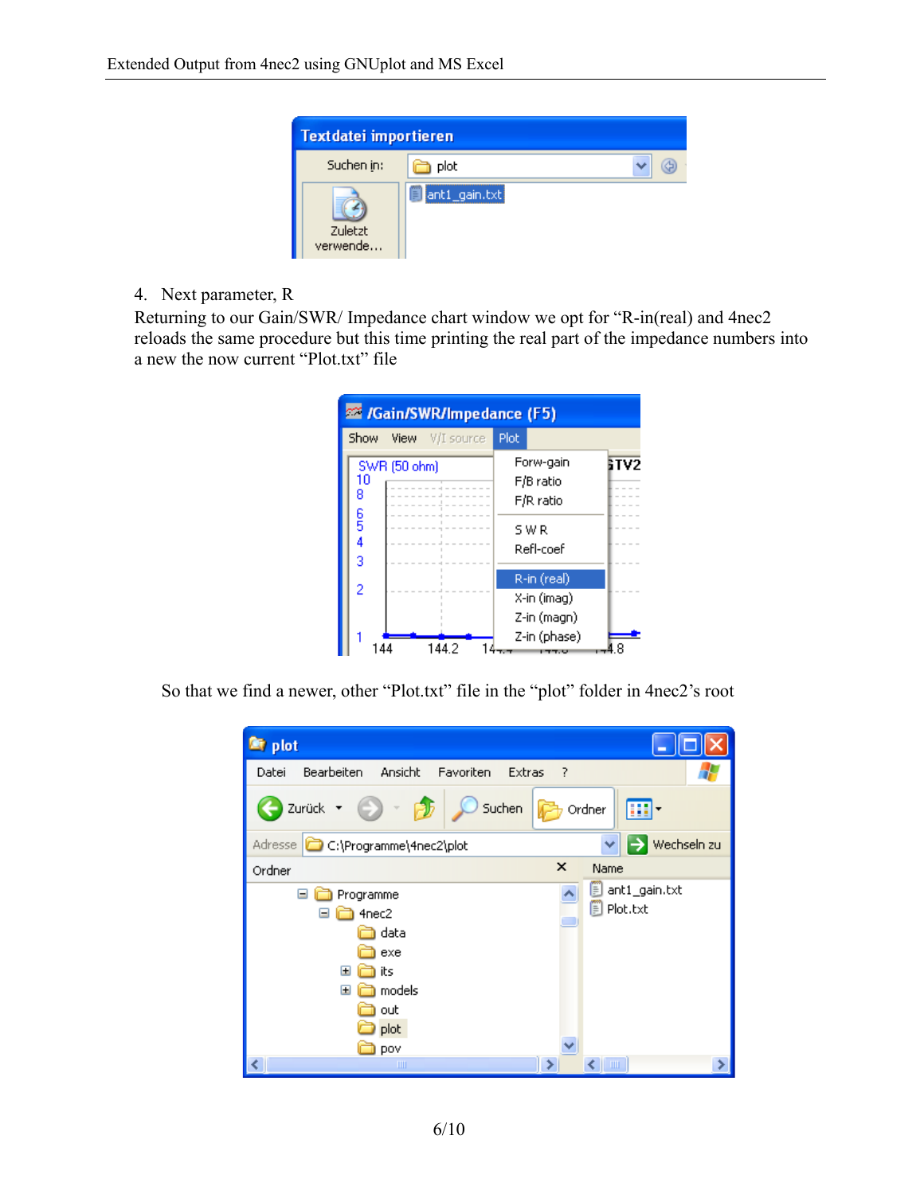

4. Next parameter, R

Returning to our Gain/SWR/ Impedance chart window we opt for "R-in(real) and 4nec2 reloads the same procedure but this time printing the real part of the impedance numbers into a new the now current "Plot.txt" file



So that we find a newer, other "Plot.txt" file in the "plot" folder in 4nec2's root

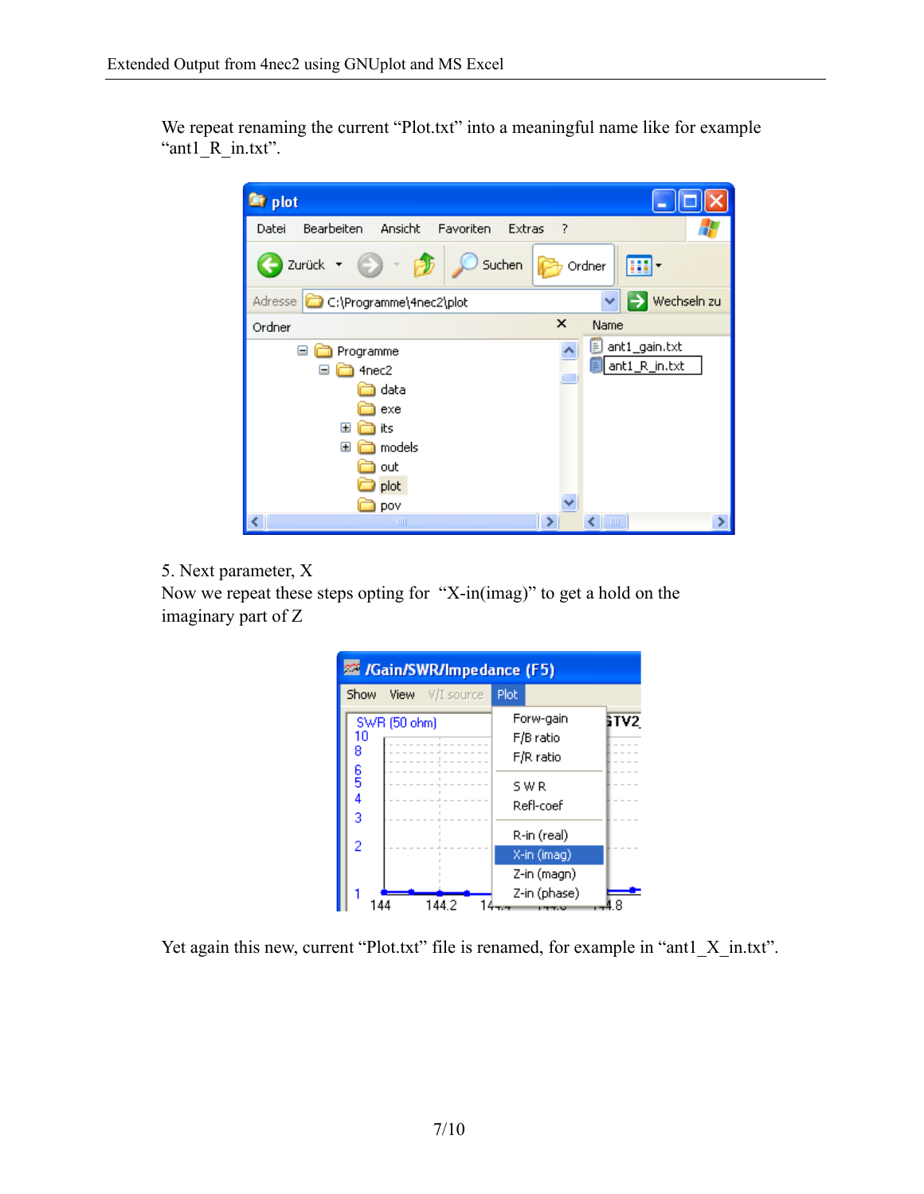We repeat renaming the current "Plot.txt" into a meaningful name like for example "ant1\_R\_in.txt".



5. Next parameter, X

Now we repeat these steps opting for "X-in(imag)" to get a hold on the imaginary part of Z

| <b>22 /Gain/SWR/Impedance (F5)</b> |              |                 |      |              |             |  |
|------------------------------------|--------------|-----------------|------|--------------|-------------|--|
| Show                               |              | View V/I source | Plot |              |             |  |
|                                    | SWR (50 ohm) |                 |      | Forw-gain    | <b>STV2</b> |  |
| 10<br>8                            |              |                 |      | F/B ratio    |             |  |
|                                    |              |                 |      | F/R ratio    |             |  |
| 6<br>5                             |              |                 |      | SWR          |             |  |
| 4                                  |              |                 |      | Refl-coef    |             |  |
| 3                                  |              |                 |      |              |             |  |
| $\overline{2}$                     |              |                 |      | R-in (real)  |             |  |
|                                    |              |                 |      | X-in (imag)  |             |  |
|                                    |              |                 |      | Z-in (magn)  |             |  |
|                                    |              |                 |      | Z-in (phase) |             |  |
| 144.2                              |              |                 |      |              |             |  |

Yet again this new, current "Plot.txt" file is renamed, for example in "ant1\_X\_in.txt".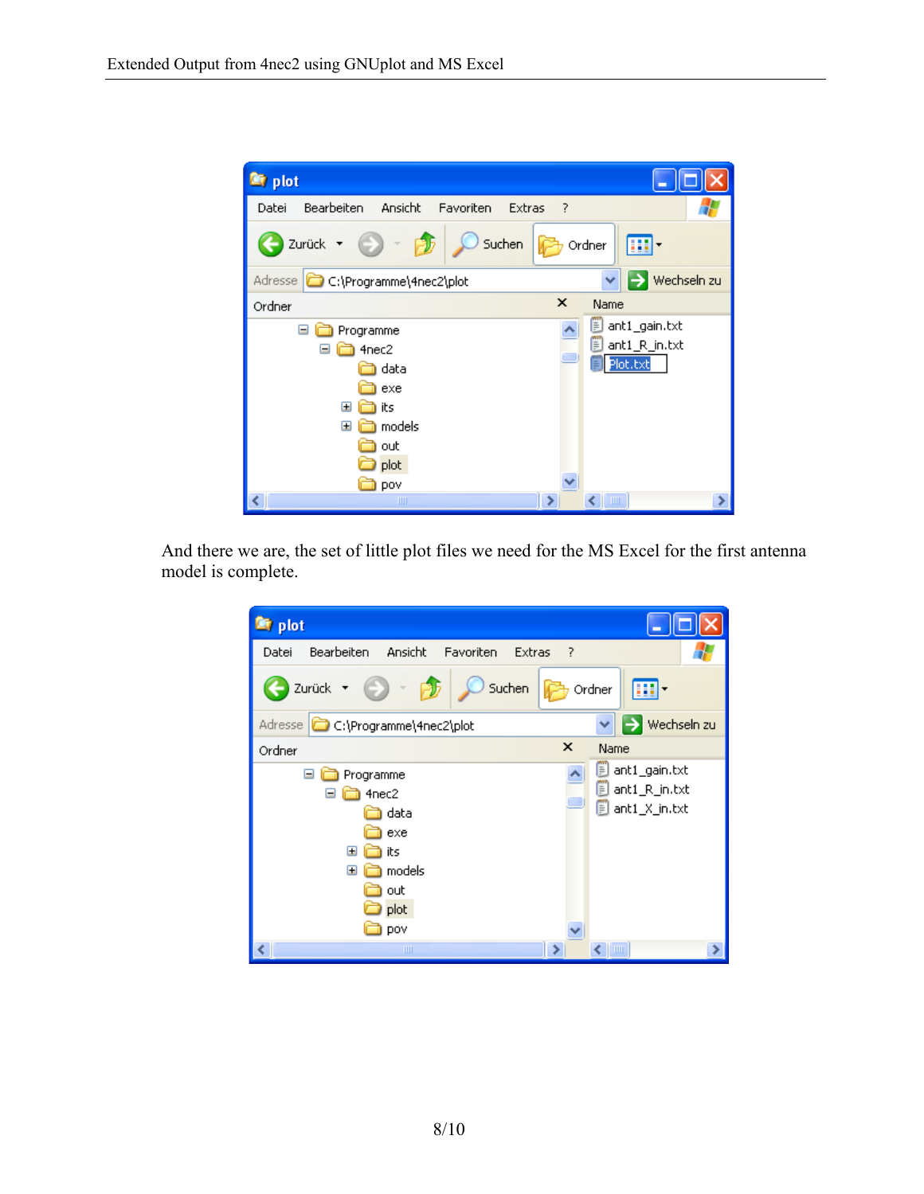

And there we are, the set of little plot files we need for the MS Excel for the first antenna model is complete.

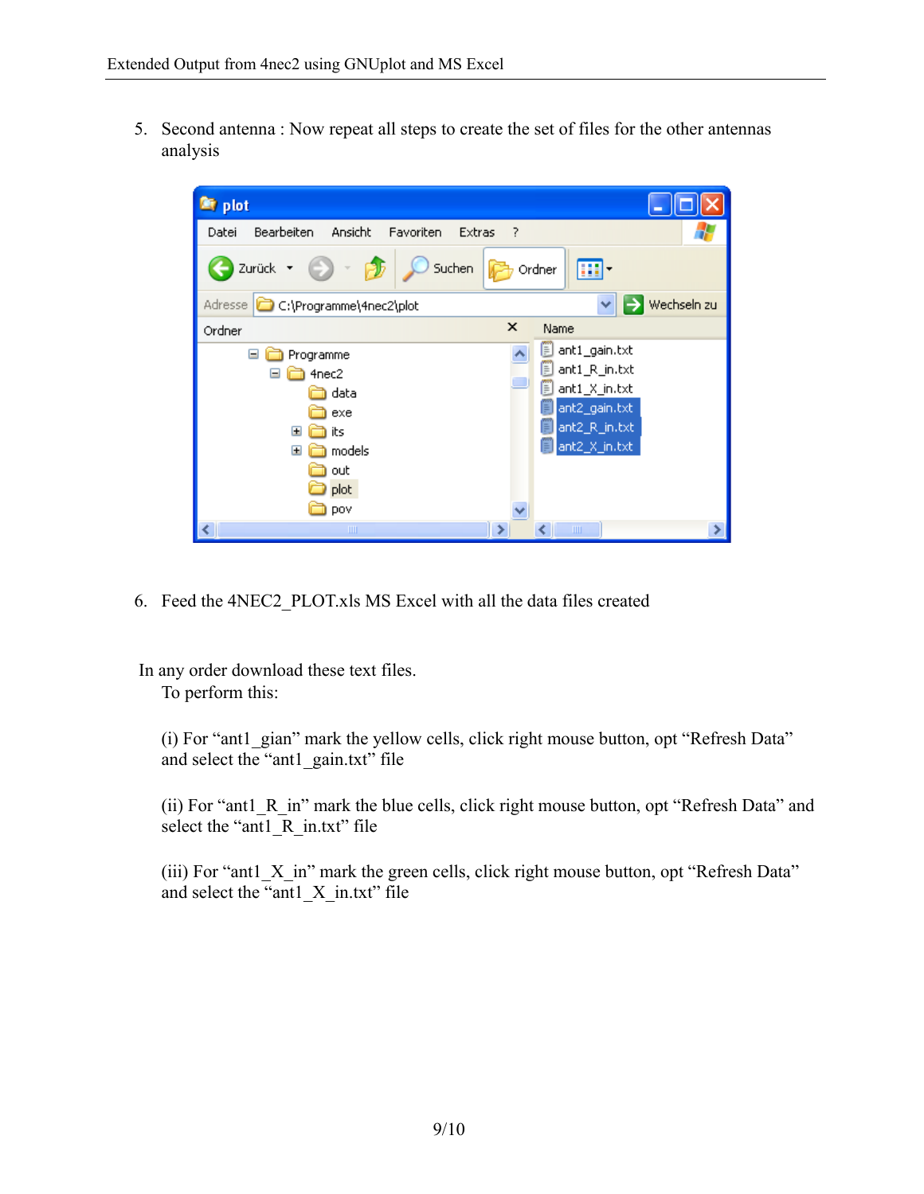5. Second antenna : Now repeat all steps to create the set of files for the other antennas analysis



6. Feed the 4NEC2\_PLOT.xls MS Excel with all the data files created

 In any order download these text files. To perform this:

(i) For "ant1\_gian" mark the yellow cells, click right mouse button, opt "Refresh Data" and select the "ant1\_gain.txt" file

(ii) For "ant1\_R\_in" mark the blue cells, click right mouse button, opt "Refresh Data" and select the "ant1\_R\_in.txt" file

(iii) For "antl X in" mark the green cells, click right mouse button, opt "Refresh Data" and select the "ant1\_X\_in.txt" file